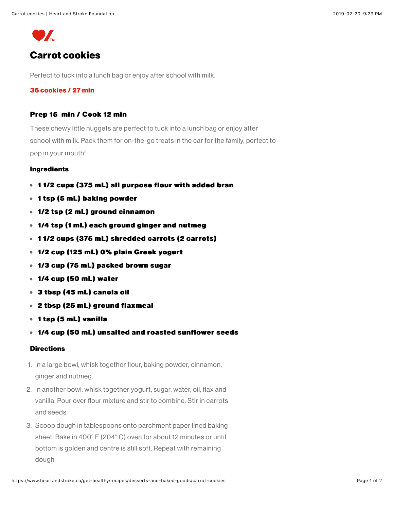Carrot cookies | Heart and Stroke Foundation



# **Carrot cookies**

Perfect to tuck into a lunch bag or enjoy after school with milk.

## 36 cookies / 27 min

## Prep 15 min / Cook 12 min

These chewy little nuggets are perfect to tuck into a lunch bag or enjoy after school with milk. Pack them for on-the-go treats in the car for the family, perfect to pop in your mouth!

#### **Ingredients**

- 11/2 cups (375 mL) all purpose flour with added bran
- 1 tsp (5 mL) baking powder
- 1/2 tsp (2 mL) ground cinnamon
- 1/4 tsp (1 mL) each ground ginger and nutmeg
- 11/2 cups (375 mL) shredded carrots (2 carrots)
- 1/2 cup (125 mL) 0% plain Greek yogurt
- 1/3 cup (75 mL) packed brown sugar
- $\bullet$  1/4 cup (50 mL) water
- 3 tbsp (45 mL) canola oil
- 2 tbsp (25 mL) ground flaxmeal
- 1 tsp (5 mL) vanilla
- 1/4 cup (50 mL) unsalted and roasted sunflower seeds

## **Directions**

- 1. In a large bowl, whisk together flour, baking powder, cinnamon, ginger and nutmeg.
- 2. In another bowl, whisk together yogurt, sugar, water, oil, flax and vanilla. Pour over flour mixture and stir to combine. Stir in carrots and seeds.
- 3. Scoop dough in tablespoons onto parchment paper lined baking sheet. Bake in 400°F (204°C) oven for about 12 minutes or until bottom is golden and centre is still soft. Repeat with remaining dough.